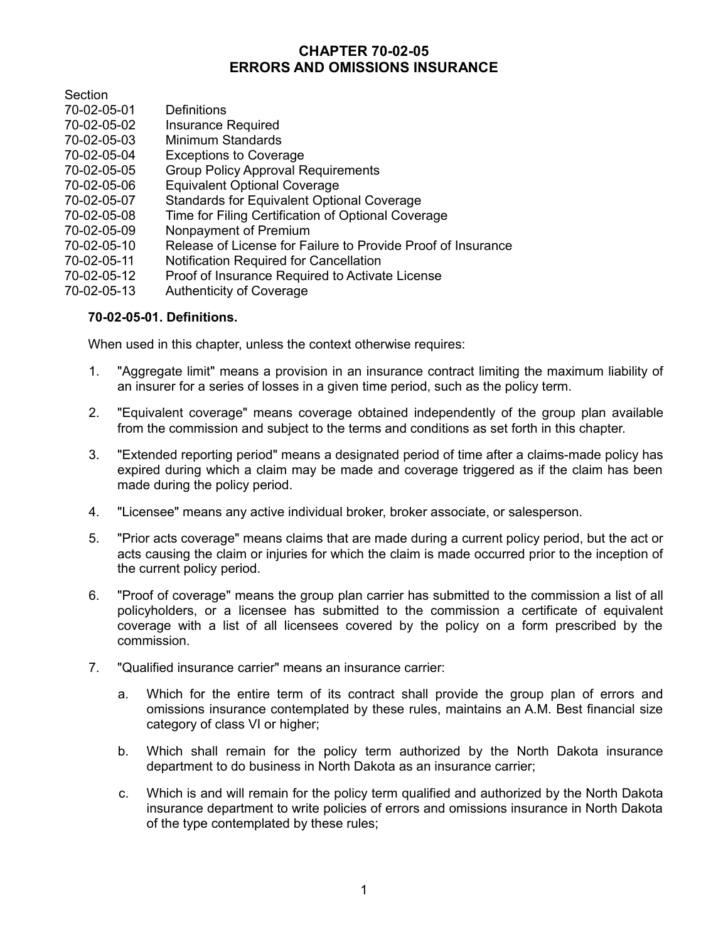# **CHAPTER 70-02-05 ERRORS AND OMISSIONS INSURANCE**

**Section** 

- 70-02-05-01 Definitions
- Insurance Required
- 70-02-05-03 Minimum Standards
- 70-02-05-04 Exceptions to Coverage
- 70-02-05-05 Group Policy Approval Requirements
- 70-02-05-06 Equivalent Optional Coverage
- 70-02-05-07 Standards for Equivalent Optional Coverage
- 70-02-05-08 Time for Filing Certification of Optional Coverage
- 70-02-05-09 Nonpayment of Premium
- 70-02-05-10 Release of License for Failure to Provide Proof of Insurance
- 70-02-05-11 Notification Required for Cancellation
- Proof of Insurance Required to Activate License
- 70-02-05-13 Authenticity of Coverage

## **70-02-05-01. Definitions.**

When used in this chapter, unless the context otherwise requires:

- 1. "Aggregate limit" means a provision in an insurance contract limiting the maximum liability of an insurer for a series of losses in a given time period, such as the policy term.
- 2. "Equivalent coverage" means coverage obtained independently of the group plan available from the commission and subject to the terms and conditions as set forth in this chapter.
- 3. "Extended reporting period" means a designated period of time after a claims-made policy has expired during which a claim may be made and coverage triggered as if the claim has been made during the policy period.
- 4. "Licensee" means any active individual broker, broker associate, or salesperson.
- 5. "Prior acts coverage" means claims that are made during a current policy period, but the act or acts causing the claim or injuries for which the claim is made occurred prior to the inception of the current policy period.
- 6. "Proof of coverage" means the group plan carrier has submitted to the commission a list of all policyholders, or a licensee has submitted to the commission a certificate of equivalent coverage with a list of all licensees covered by the policy on a form prescribed by the commission.
- 7. "Qualified insurance carrier" means an insurance carrier:
	- a. Which for the entire term of its contract shall provide the group plan of errors and omissions insurance contemplated by these rules, maintains an A.M. Best financial size category of class VI or higher;
	- b. Which shall remain for the policy term authorized by the North Dakota insurance department to do business in North Dakota as an insurance carrier;
	- c. Which is and will remain for the policy term qualified and authorized by the North Dakota insurance department to write policies of errors and omissions insurance in North Dakota of the type contemplated by these rules;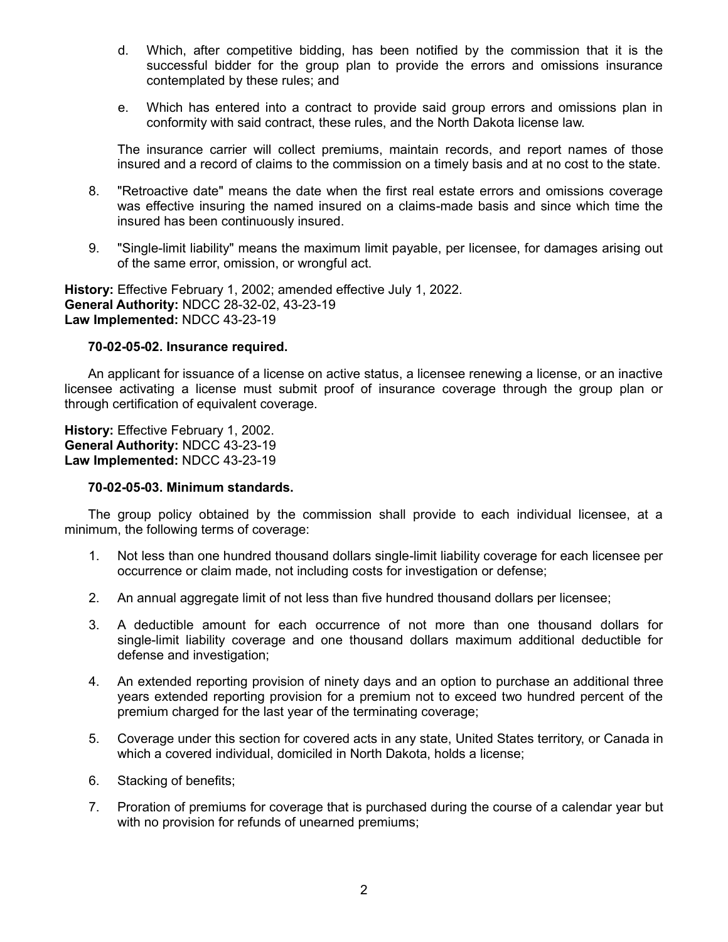- d. Which, after competitive bidding, has been notified by the commission that it is the successful bidder for the group plan to provide the errors and omissions insurance contemplated by these rules; and
- e. Which has entered into a contract to provide said group errors and omissions plan in conformity with said contract, these rules, and the North Dakota license law.

The insurance carrier will collect premiums, maintain records, and report names of those insured and a record of claims to the commission on a timely basis and at no cost to the state.

- 8. "Retroactive date" means the date when the first real estate errors and omissions coverage was effective insuring the named insured on a claims-made basis and since which time the insured has been continuously insured.
- 9. "Single-limit liability" means the maximum limit payable, per licensee, for damages arising out of the same error, omission, or wrongful act.

**History:** Effective February 1, 2002; amended effective July 1, 2022. **General Authority:** NDCC 28-32-02, 43-23-19 **Law Implemented:** NDCC 43-23-19

## **70-02-05-02. Insurance required.**

An applicant for issuance of a license on active status, a licensee renewing a license, or an inactive licensee activating a license must submit proof of insurance coverage through the group plan or through certification of equivalent coverage.

**History:** Effective February 1, 2002. **General Authority:** NDCC 43-23-19 **Law Implemented:** NDCC 43-23-19

## **70-02-05-03. Minimum standards.**

The group policy obtained by the commission shall provide to each individual licensee, at a minimum, the following terms of coverage:

- 1. Not less than one hundred thousand dollars single-limit liability coverage for each licensee per occurrence or claim made, not including costs for investigation or defense;
- 2. An annual aggregate limit of not less than five hundred thousand dollars per licensee;
- 3. A deductible amount for each occurrence of not more than one thousand dollars for single-limit liability coverage and one thousand dollars maximum additional deductible for defense and investigation;
- 4. An extended reporting provision of ninety days and an option to purchase an additional three years extended reporting provision for a premium not to exceed two hundred percent of the premium charged for the last year of the terminating coverage;
- 5. Coverage under this section for covered acts in any state, United States territory, or Canada in which a covered individual, domiciled in North Dakota, holds a license;
- 6. Stacking of benefits;
- 7. Proration of premiums for coverage that is purchased during the course of a calendar year but with no provision for refunds of unearned premiums;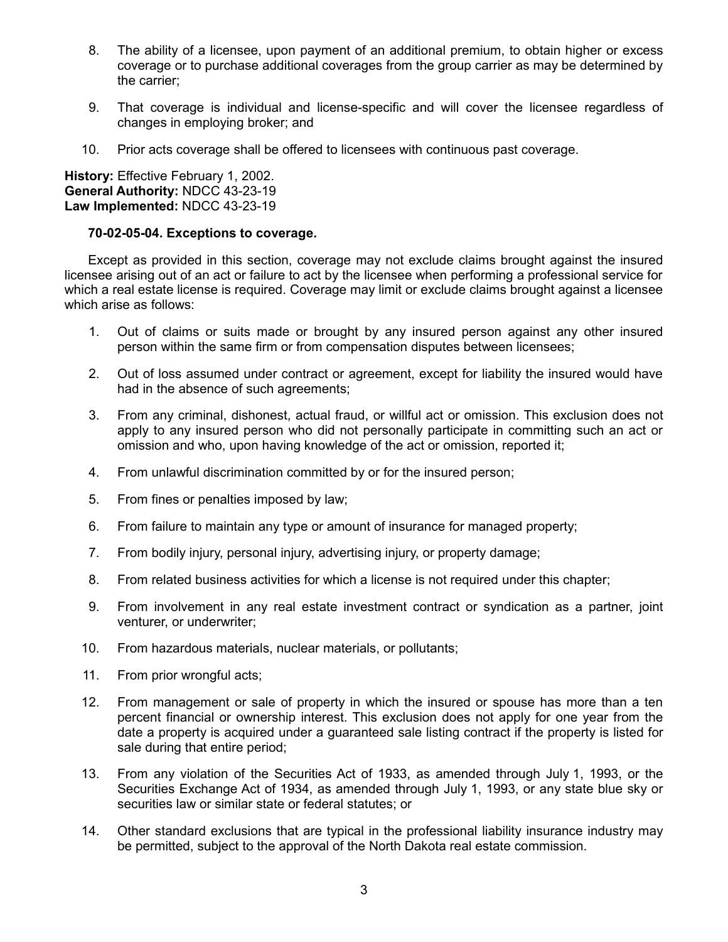- 8. The ability of a licensee, upon payment of an additional premium, to obtain higher or excess coverage or to purchase additional coverages from the group carrier as may be determined by the carrier;
- 9. That coverage is individual and license-specific and will cover the licensee regardless of changes in employing broker; and
- 10. Prior acts coverage shall be offered to licensees with continuous past coverage.

**History:** Effective February 1, 2002. **General Authority:** NDCC 43-23-19 **Law Implemented:** NDCC 43-23-19

## **70-02-05-04. Exceptions to coverage.**

Except as provided in this section, coverage may not exclude claims brought against the insured licensee arising out of an act or failure to act by the licensee when performing a professional service for which a real estate license is required. Coverage may limit or exclude claims brought against a licensee which arise as follows:

- 1. Out of claims or suits made or brought by any insured person against any other insured person within the same firm or from compensation disputes between licensees;
- 2. Out of loss assumed under contract or agreement, except for liability the insured would have had in the absence of such agreements;
- 3. From any criminal, dishonest, actual fraud, or willful act or omission. This exclusion does not apply to any insured person who did not personally participate in committing such an act or omission and who, upon having knowledge of the act or omission, reported it;
- 4. From unlawful discrimination committed by or for the insured person;
- 5. From fines or penalties imposed by law;
- 6. From failure to maintain any type or amount of insurance for managed property;
- 7. From bodily injury, personal injury, advertising injury, or property damage;
- 8. From related business activities for which a license is not required under this chapter;
- 9. From involvement in any real estate investment contract or syndication as a partner, joint venturer, or underwriter;
- 10. From hazardous materials, nuclear materials, or pollutants;
- 11. From prior wrongful acts;
- 12. From management or sale of property in which the insured or spouse has more than a ten percent financial or ownership interest. This exclusion does not apply for one year from the date a property is acquired under a guaranteed sale listing contract if the property is listed for sale during that entire period;
- 13. From any violation of the Securities Act of 1933, as amended through July 1, 1993, or the Securities Exchange Act of 1934, as amended through July 1, 1993, or any state blue sky or securities law or similar state or federal statutes; or
- 14. Other standard exclusions that are typical in the professional liability insurance industry may be permitted, subject to the approval of the North Dakota real estate commission.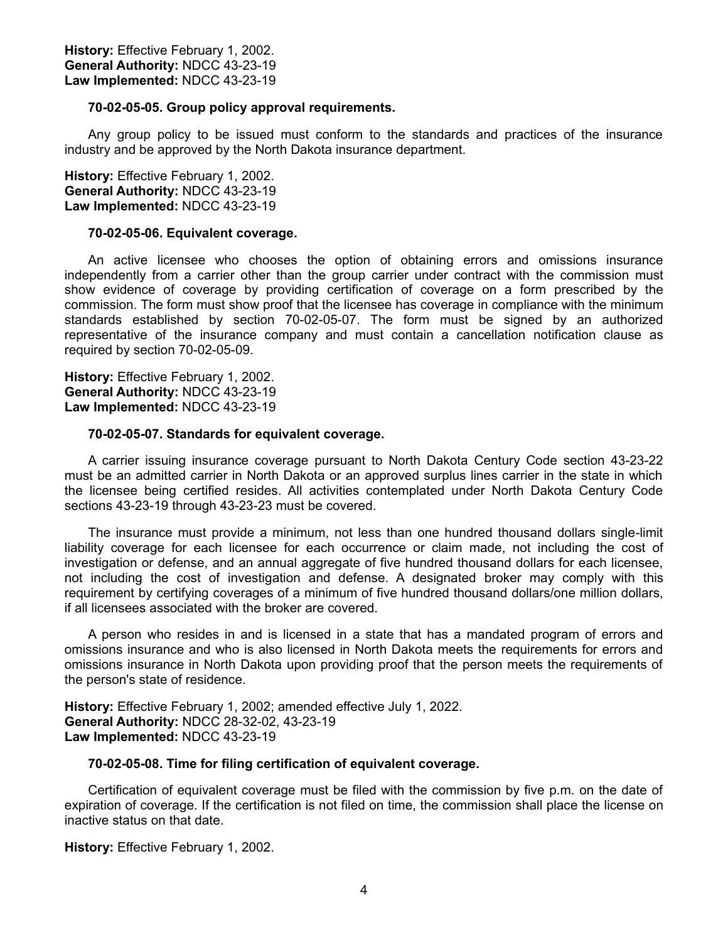### **70-02-05-05. Group policy approval requirements.**

Any group policy to be issued must conform to the standards and practices of the insurance industry and be approved by the North Dakota insurance department.

**History:** Effective February 1, 2002. **General Authority:** NDCC 43-23-19 **Law Implemented:** NDCC 43-23-19

#### **70-02-05-06. Equivalent coverage.**

An active licensee who chooses the option of obtaining errors and omissions insurance independently from a carrier other than the group carrier under contract with the commission must show evidence of coverage by providing certification of coverage on a form prescribed by the commission. The form must show proof that the licensee has coverage in compliance with the minimum standards established by section 70-02-05-07. The form must be signed by an authorized representative of the insurance company and must contain a cancellation notification clause as required by section 70-02-05-09.

**History:** Effective February 1, 2002. **General Authority:** NDCC 43-23-19 **Law Implemented:** NDCC 43-23-19

#### **70-02-05-07. Standards for equivalent coverage.**

A carrier issuing insurance coverage pursuant to North Dakota Century Code section 43-23-22 must be an admitted carrier in North Dakota or an approved surplus lines carrier in the state in which the licensee being certified resides. All activities contemplated under North Dakota Century Code sections 43-23-19 through 43-23-23 must be covered.

The insurance must provide a minimum, not less than one hundred thousand dollars single-limit liability coverage for each licensee for each occurrence or claim made, not including the cost of investigation or defense, and an annual aggregate of five hundred thousand dollars for each licensee, not including the cost of investigation and defense. A designated broker may comply with this requirement by certifying coverages of a minimum of five hundred thousand dollars/one million dollars, if all licensees associated with the broker are covered.

A person who resides in and is licensed in a state that has a mandated program of errors and omissions insurance and who is also licensed in North Dakota meets the requirements for errors and omissions insurance in North Dakota upon providing proof that the person meets the requirements of the person's state of residence.

**History:** Effective February 1, 2002; amended effective July 1, 2022. **General Authority:** NDCC 28-32-02, 43-23-19 **Law Implemented:** NDCC 43-23-19

#### **70-02-05-08. Time for filing certification of equivalent coverage.**

Certification of equivalent coverage must be filed with the commission by five p.m. on the date of expiration of coverage. If the certification is not filed on time, the commission shall place the license on inactive status on that date.

**History:** Effective February 1, 2002.